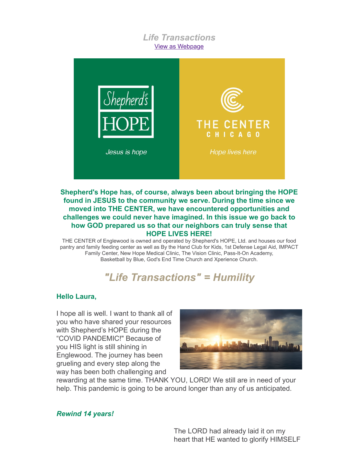## *Life Transactions* [View as Webpage](http://campaign.r20.constantcontact.com/render?ca=05c9eca5-da73-4c9f-84d3-17fb4063bf2e&preview=true&m=1102873718310&id=preview)



#### **Shepherd's Hope has, of course, always been about bringing the HOPE found in JESUS to the community we serve. During the time since we moved into THE CENTER, we have encountered opportunities and challenges we could never have imagined. In this issue we go back to how GOD prepared us so that our neighbors can truly sense that HOPE LIVES HERE!**

THE CENTER of Englewood is owned and operated by Shepherd's HOPE, Ltd. and houses our food pantry and family feeding center as well as By the Hand Club for Kids, 1st Defense Legal Aid, IMPACT Family Center, New Hope Medical Clinic, The Vision Clinic, Pass-It-On Academy, Basketball by Blue, God's End Time Church and Xperience Church.

# *"Life Transactions" = Humility*

#### **Hello Laura,**

I hope all is well. I want to thank all of you who have shared your resources with Shepherd's HOPE during the "COVID PANDEMIC!" Because of you HIS light is still shining in Englewood. The journey has been grueling and every step along the way has been both challenging and



rewarding at the same time. THANK YOU, LORD! We still are in need of your help. This pandemic is going to be around longer than any of us anticipated.

*Rewind 14 years!*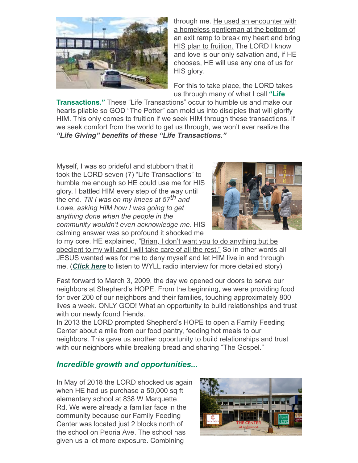![](_page_1_Picture_0.jpeg)

through me. He used an encounter with a homeless gentleman at the bottom of an exit ramp to break my heart and bring HIS plan to fruition. The LORD I know and love is our only salvation and, if HE chooses, HE will use any one of us for HIS glory.

For this to take place, the LORD takes us through many of what I call **"Life**

**Transactions."** These "Life Transactions" occur to humble us and make our hearts pliable so GOD "The Potter" can mold us into disciples that will glorify HIM. This only comes to fruition if we seek HIM through these transactions. If we seek comfort from the world to get us through, we won't ever realize the *"Life Giving" benefits of these "Life Transactions."*

Myself, I was so prideful and stubborn that it took the LORD seven (7) "Life Transactions" to humble me enough so HE could use me for HIS glory. I battled HIM every step of the way until the end. *Till I was on my knees at 57th and Lowe, asking HIM how I was going to get anything done when the people in the community wouldn't even acknowledge me*. HIS calming answer was so profound it shocked me

![](_page_1_Picture_5.jpeg)

to my core. HE explained, "Brian, I don't want you to do anything but be obedient to my will and I will take care of all the rest." So in other words all JESUS wanted was for me to deny myself and let HIM live in and through me. (*[Click here](https://vimeo.com/153284114)* to listen to WYLL radio interview for more detailed story)

Fast forward to March 3, 2009, the day we opened our doors to serve our neighbors at Shepherd's HOPE. From the beginning, we were providing food for over 200 of our neighbors and their families, touching approximately 800 lives a week. ONLY GOD! What an opportunity to build relationships and trust with our newly found friends.

In 2013 the LORD prompted Shepherd's HOPE to open a Family Feeding Center about a mile from our food pantry, feeding hot meals to our neighbors. This gave us another opportunity to build relationships and trust with our neighbors while breaking bread and sharing "The Gospel."

## *Incredible growth and opportunities...*

In May of 2018 the LORD shocked us again when HE had us purchase a 50,000 sq ft elementary school at 838 W Marquette Rd. We were already a familiar face in the community because our Family Feeding Center was located just 2 blocks north of the school on Peoria Ave. The school has given us a lot more exposure. Combining

![](_page_1_Picture_11.jpeg)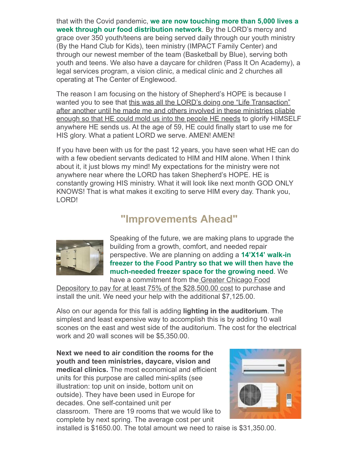that with the Covid pandemic, **we are now touching more than 5,000 lives a week through our food distribution network**. By the LORD's mercy and grace over 350 youth/teens are being served daily through our youth ministry (By the Hand Club for Kids), teen ministry (IMPACT Family Center) and through our newest member of the team (Basketball by Blue), serving both youth and teens. We also have a daycare for children (Pass It On Academy), a legal services program, a vision clinic, a medical clinic and 2 churches all operating at The Center of Englewood.

The reason I am focusing on the history of Shepherd's HOPE is because I wanted you to see that this was all the LORD's doing one "Life Transaction" after another until he made me and others involved in these ministries pliable enough so that HE could mold us into the people HE needs to glorify HIMSELF anywhere HE sends us. At the age of 59, HE could finally start to use me for HIS glory. What a patient LORD we serve. AMEN! AMEN!

If you have been with us for the past 12 years, you have seen what HE can do with a few obedient servants dedicated to HIM and HIM alone. When I think about it, it just blows my mind! My expectations for the ministry were not anywhere near where the LORD has taken Shepherd's HOPE. HE is constantly growing HIS ministry. What it will look like next month GOD ONLY KNOWS! That is what makes it exciting to serve HIM every day. Thank you, LORD!

## **"Improvements Ahead"**

![](_page_2_Picture_4.jpeg)

Speaking of the future, we are making plans to upgrade the building from a growth, comfort, and needed repair perspective. We are planning on adding a **14'X14' walk-in freezer to the Food Pantry so that we will then have the much-needed freezer space for the growing need**. We have a commitment from the Greater Chicago Food

Depository to pay for at least 75% of the \$28,500.00 cost to purchase and install the unit. We need your help with the additional \$7,125.00.

Also on our agenda for this fall is adding **lighting in the auditorium**. The simplest and least expensive way to accomplish this is by adding 10 wall scones on the east and west side of the auditorium. The cost for the electrical work and 20 wall scones will be \$5,350.00.

**Next we need to air condition the rooms for the youth and teen ministries, daycare, vision and medical clinics.** The most economical and efficient units for this purpose are called mini-splits (see illustration: top unit on inside, bottom unit on outside). They have been used in Europe for decades. One self-contained unit per classroom. There are 19 rooms that we would like to complete by next spring. The average cost per unit

![](_page_2_Picture_9.jpeg)

installed is \$1650.00. The total amount we need to raise is \$31,350.00.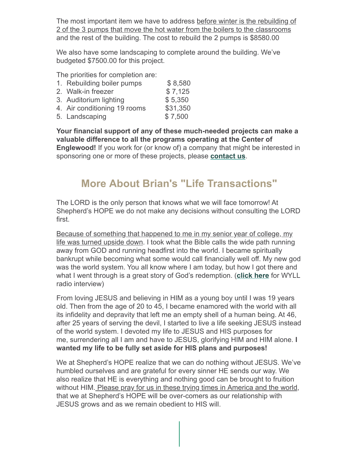The most important item we have to address before winter is the rebuilding of 2 of the 3 pumps that move the hot water from the boilers to the classrooms and the rest of the building. The cost to rebuild the 2 pumps is \$8580.00

We also have some landscaping to complete around the building. We've budgeted \$7500.00 for this project.

The priorities for completion are:

| 1. Rebuilding boiler pumps   | \$8,580  |
|------------------------------|----------|
| 2. Walk-in freezer           | \$7,125  |
| 3. Auditorium lighting       | \$5,350  |
| 4. Air conditioning 19 rooms | \$31,350 |
| 5. Landscaping               | \$7,500  |

**Your financial support of any of these much-needed projects can make a valuable difference to all the programs operating at the Center of Englewood!** If you work for (or know of) a company that might be interested in sponsoring one or more of these projects, please **[contact us](mailto:b.anderson@shepherdshopechicago.org)**.

## **More About Brian's "Life Transactions"**

The LORD is the only person that knows what we will face tomorrow! At Shepherd's HOPE we do not make any decisions without consulting the LORD first.

Because of something that happened to me in my senior year of college, my life was turned upside down. I took what the Bible calls the wide path running away from GOD and running headfirst into the world. I became spiritually bankrupt while becoming what some would call financially well off. My new god was the world system. You all know where I am today, but how I got there and what I went through is a great story of God's redemption. (**[click here](https://vimeo.com/153284114)** for WYLL radio interview)

From loving JESUS and believing in HIM as a young boy until I was 19 years old. Then from the age of 20 to 45, I became enamored with the world with all its infidelity and depravity that left me an empty shell of a human being. At 46, after 25 years of serving the devil, I started to live a life seeking JESUS instead of the world system. I devoted my life to JESUS and HIS purposes for me, surrendering all I am and have to JESUS, glorifying HIM and HIM alone. **I wanted my life to be fully set aside for HIS plans and purposes!**

We at Shepherd's HOPE realize that we can do nothing without JESUS. We've humbled ourselves and are grateful for every sinner HE sends our way. We also realize that HE is everything and nothing good can be brought to fruition without HIM. Please pray for us in these trying times in America and the world, that we at Shepherd's HOPE will be over-comers as our relationship with JESUS grows and as we remain obedient to HIS will.